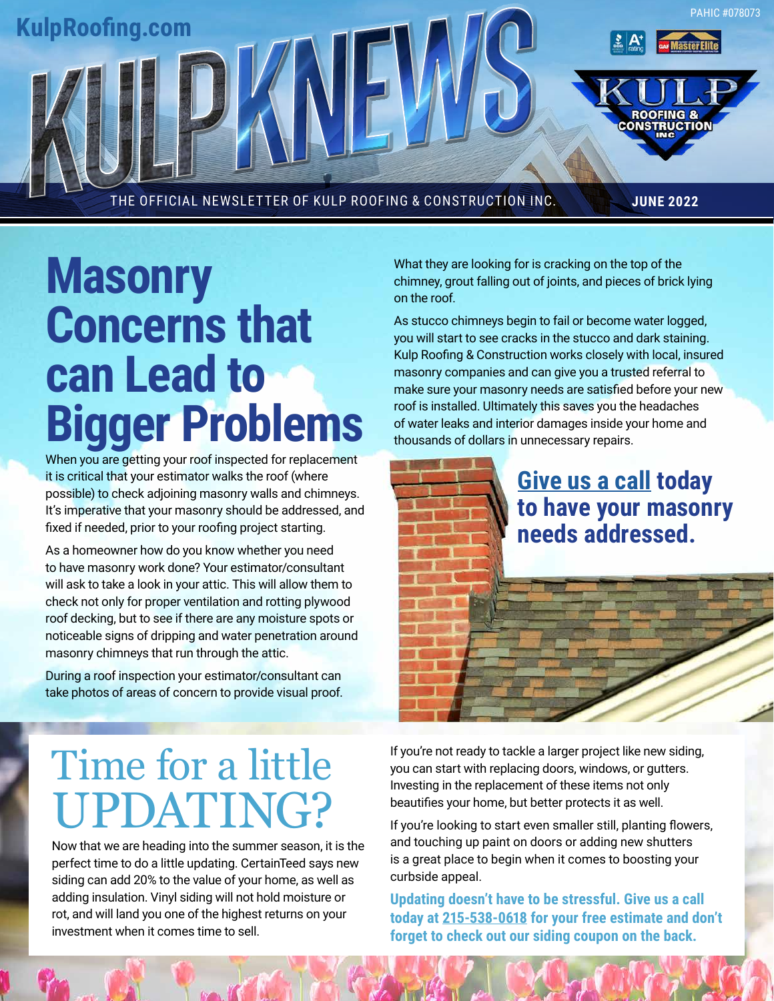

**Masonry Concerns that can Lead to Bigger Problems**

When you are getting your roof inspected for replacement it is critical that your estimator walks the roof (where possible) to check adjoining masonry walls and chimneys. It's imperative that your masonry should be addressed, and fixed if needed, prior to your roofing project starting.

As a homeowner how do you know whether you need to have masonry work done? Your estimator/consultant will ask to take a look in your attic. This will allow them to check not only for proper ventilation and rotting plywood roof decking, but to see if there are any moisture spots or noticeable signs of dripping and water penetration around masonry chimneys that run through the attic.

During a roof inspection your estimator/consultant can take photos of areas of concern to provide visual proof. What they are looking for is cracking on the top of the chimney, grout falling out of joints, and pieces of brick lying on the roof.

As stucco chimneys begin to fail or become water logged, you will start to see cracks in the stucco and dark staining. Kulp Roofing & Construction works closely with local, insured masonry companies and can give you a trusted referral to make sure your masonry needs are satisfied before your new roof is installed. Ultimately this saves you the headaches of water leaks and interior damages inside your home and thousands of dollars in unnecessary repairs.

> **[Give us a call](tel:215-538-0618) today to have your masonry needs addressed.**

# Time for a little UPDATING?

Now that we are heading into the summer season, it is the perfect time to do a little updating. CertainTeed says new siding can add 20% to the value of your home, as well as adding insulation. Vinyl siding will not hold moisture or rot, and will land you one of the highest returns on your investment when it comes time to sell.

If you're not ready to tackle a larger project like new siding, you can start with replacing doors, windows, or gutters. Investing in the replacement of these items not only beautifies your home, but better protects it as well.

If you're looking to start even smaller still, planting flowers, and touching up paint on doors or adding new shutters is a great place to begin when it comes to boosting your curbside appeal.

**Updating doesn't have to be stressful. Give us a call today at [215-538-0618](tel:215-538-0618) for your free estimate and don't forget to check out our siding coupon on the back.**